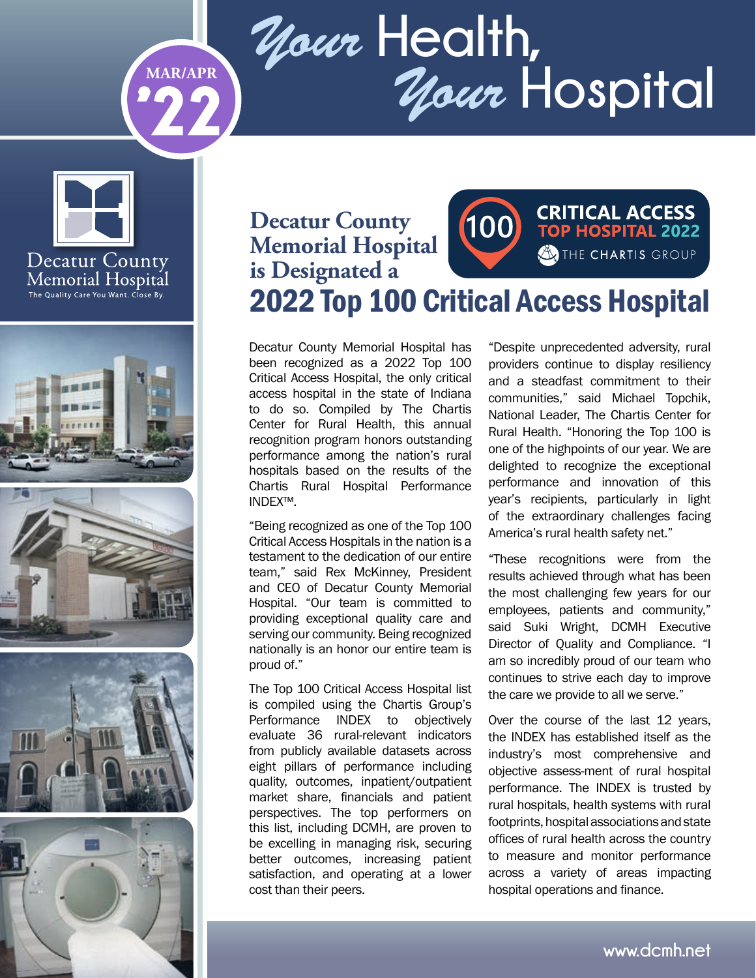# *Your* **Health,** *Your* **Hospital MAR/APR**



**'22**









#### **CRITICAL ACCESS Decatur County**   $(100)$ **TOP HOSPITAL 2022 Memorial Hospital**  THE CHARTIS GROUP **is Designated a** 2022 Top 100 Critical Access Hospital

Decatur County Memorial Hospital has been recognized as a 2022 Top 100 Critical Access Hospital, the only critical access hospital in the state of Indiana to do so. Compiled by The Chartis Center for Rural Health, this annual recognition program honors outstanding performance among the nation's rural hospitals based on the results of the Chartis Rural Hospital Performance INDEX™.

"Being recognized as one of the Top 100 Critical Access Hospitals in the nation is a testament to the dedication of our entire team," said Rex McKinney, President and CEO of Decatur County Memorial Hospital. "Our team is committed to providing exceptional quality care and serving our community. Being recognized nationally is an honor our entire team is proud of."

The Top 100 Critical Access Hospital list is compiled using the Chartis Group's Performance INDEX to objectively evaluate 36 rural-relevant indicators from publicly available datasets across eight pillars of performance including quality, outcomes, inpatient/outpatient market share, financials and patient perspectives. The top performers on this list, including DCMH, are proven to be excelling in managing risk, securing better outcomes, increasing patient satisfaction, and operating at a lower cost than their peers.

"Despite unprecedented adversity, rural providers continue to display resiliency and a steadfast commitment to their communities," said Michael Topchik, National Leader, The Chartis Center for Rural Health. "Honoring the Top 100 is one of the highpoints of our year. We are delighted to recognize the exceptional performance and innovation of this year's recipients, particularly in light of the extraordinary challenges facing America's rural health safety net."

"These recognitions were from the results achieved through what has been the most challenging few years for our employees, patients and community," said Suki Wright, DCMH Executive Director of Quality and Compliance. "I am so incredibly proud of our team who continues to strive each day to improve the care we provide to all we serve."

Over the course of the last 12 years, the INDEX has established itself as the industry's most comprehensive and objective assess-ment of rural hospital performance. The INDEX is trusted by rural hospitals, health systems with rural footprints, hospital associations and state offices of rural health across the country to measure and monitor performance across a variety of areas impacting hospital operations and finance.

**www.dcmh.net**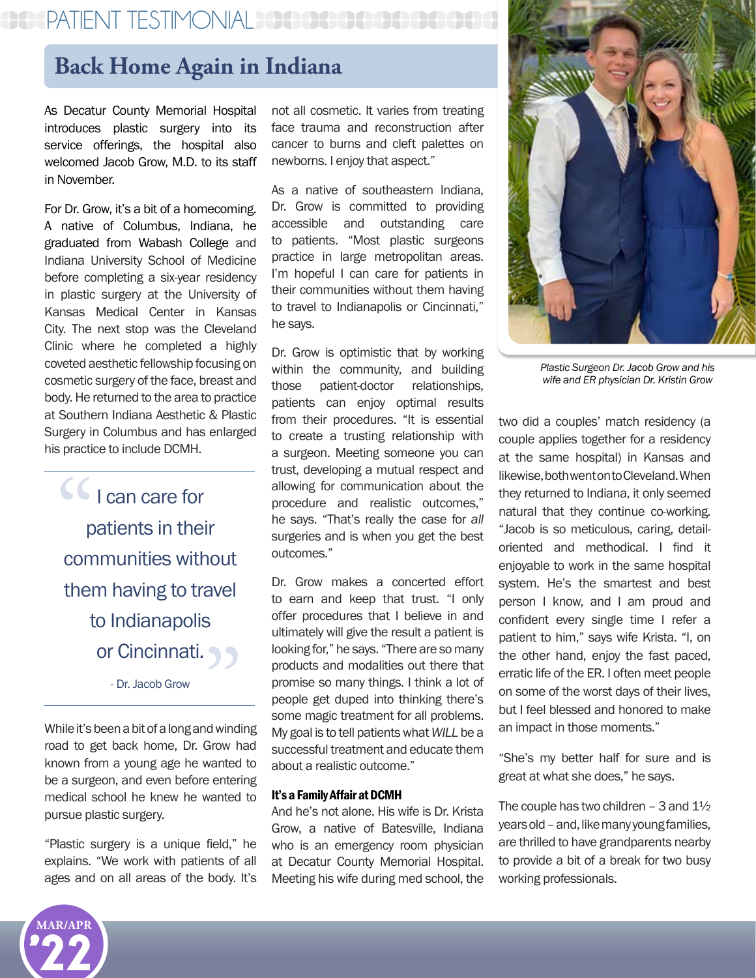## PATIENT TESTIMONIAL PER

## **Back Home Again in Indiana**

As Decatur County Memorial Hospital introduces plastic surgery into its service offerings, the hospital also welcomed Jacob Grow, M.D. to its staff in November.

For Dr. Grow, it's a bit of a homecoming. A native of Columbus, Indiana, he graduated from Wabash College and Indiana University School of Medicine before completing a six-year residency in plastic surgery at the University of Kansas Medical Center in Kansas City. The next stop was the Cleveland Clinic where he completed a highly coveted aesthetic fellowship focusing on cosmetic surgery of the face, breast and body. He returned to the area to practice at Southern Indiana Aesthetic & Plastic Surgery in Columbus and has enlarged his practice to include DCMH.

CC<sub>I can care for</sub> patients in their communities without them having to travel to Indianapolis or Cincinnati.

- Dr. Jacob Grow

While it's been a bit of a long and winding road to get back home, Dr. Grow had known from a young age he wanted to be a surgeon, and even before entering medical school he knew he wanted to pursue plastic surgery.

"Plastic surgery is a unique field," he explains. "We work with patients of all ages and on all areas of the body. It's

not all cosmetic. It varies from treating face trauma and reconstruction after cancer to burns and cleft palettes on newborns. I enjoy that aspect."

As a native of southeastern Indiana, Dr. Grow is committed to providing accessible and outstanding care to patients. "Most plastic surgeons practice in large metropolitan areas. I'm hopeful I can care for patients in their communities without them having to travel to Indianapolis or Cincinnati," he says.

Dr. Grow is optimistic that by working within the community, and building those patient-doctor relationships, patients can enjoy optimal results from their procedures. "It is essential to create a trusting relationship with a surgeon. Meeting someone you can trust, developing a mutual respect and allowing for communication about the procedure and realistic outcomes," he says. "That's really the case for *all* surgeries and is when you get the best outcomes."

Dr. Grow makes a concerted effort to earn and keep that trust. "I only offer procedures that I believe in and ultimately will give the result a patient is looking for," he says. "There are so many products and modalities out there that promise so many things. I think a lot of people get duped into thinking there's some magic treatment for all problems. My goal is to tell patients what *WILL* be a successful treatment and educate them about a realistic outcome."

#### It's a Family Affair at DCMH

And he's not alone. His wife is Dr. Krista Grow, a native of Batesville, Indiana who is an emergency room physician at Decatur County Memorial Hospital. Meeting his wife during med school, the



*Plastic Surgeon Dr. Jacob Grow and his wife and ER physician Dr. Kristin Grow*

two did a couples' match residency (a couple applies together for a residency at the same hospital) in Kansas and likewise, both went on to Cleveland. When they returned to Indiana, it only seemed natural that they continue co-working. "Jacob is so meticulous, caring, detailoriented and methodical. I find it enjoyable to work in the same hospital system. He's the smartest and best person I know, and I am proud and confident every single time I refer a patient to him," says wife Krista. "I, on the other hand, enjoy the fast paced, erratic life of the ER. I often meet people on some of the worst days of their lives, but I feel blessed and honored to make an impact in those moments."

"She's my better half for sure and is great at what she does," he says.

The couple has two children  $-$  3 and  $1\frac{1}{2}$ years old – and, like many young families, are thrilled to have grandparents nearby to provide a bit of a break for two busy working professionals.

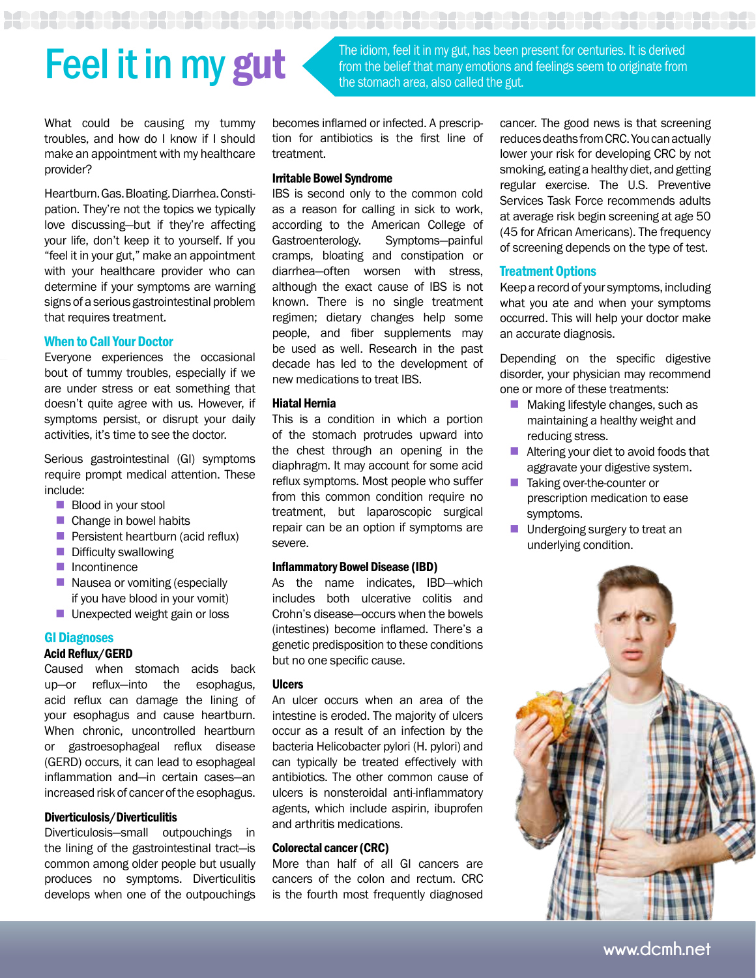# Feel it in my gut, has been present for centuries. It is derived<br>from the belief that many emotions and feelings seem to originate from<br>the stemsch area, also called the gut

What could be causing my tummy troubles, and how do I know if I should make an appointment with my healthcare provider?

Heartburn. Gas. Bloating. Diarrhea. Constipation. They're not the topics we typically love discussing—but if they're affecting your life, don't keep it to yourself. If you "feel it in your gut," make an appointment with your healthcare provider who can determine if your symptoms are warning signs of a serious gastrointestinal problem that requires treatment.

#### When to Call Your Doctor

Everyone experiences the occasional bout of tummy troubles, especially if we are under stress or eat something that doesn't quite agree with us. However, if symptoms persist, or disrupt your daily activities, it's time to see the doctor.

Serious gastrointestinal (GI) symptoms require prompt medical attention. These include:

- **Blood in your stool**
- $\blacksquare$  Change in bowel habits
- $\blacksquare$  Persistent heartburn (acid reflux)
- $\blacksquare$  Difficulty swallowing
- $\blacksquare$  Incontinence
- $\blacksquare$  Nausea or vomiting (especially if you have blood in your vomit)
- **n** Unexpected weight gain or loss

#### GI Diagnoses

#### Acid Reflux/GERD

Caused when stomach acids back up—or reflux—into the esophagus, acid reflux can damage the lining of your esophagus and cause heartburn. When chronic, uncontrolled heartburn or gastroesophageal reflux disease (GERD) occurs, it can lead to esophageal inflammation and—in certain cases—an increased risk of cancer of the esophagus.

#### Diverticulosis/Diverticulitis

Diverticulosis—small outpouchings in the lining of the gastrointestinal tract—is common among older people but usually produces no symptoms. Diverticulitis develops when one of the outpouchings becomes inflamed or infected. A prescription for antibiotics is the first line of treatment.

the stomach area, also called the gut.

#### Irritable Bowel Syndrome

IBS is second only to the common cold as a reason for calling in sick to work, according to the American College of Gastroenterology. Symptoms—painful cramps, bloating and constipation or diarrhea—often worsen with stress, although the exact cause of IBS is not known. There is no single treatment regimen; dietary changes help some people, and fiber supplements may be used as well. Research in the past decade has led to the development of new medications to treat IBS.

#### Hiatal Hernia

This is a condition in which a portion of the stomach protrudes upward into the chest through an opening in the diaphragm. It may account for some acid reflux symptoms. Most people who suffer from this common condition require no treatment, but laparoscopic surgical repair can be an option if symptoms are severe.

#### Inflammatory Bowel Disease (IBD)

As the name indicates, IBD—which includes both ulcerative colitis and Crohn's disease—occurs when the bowels (intestines) become inflamed. There's a genetic predisposition to these conditions but no one specific cause.

#### Ulcers

An ulcer occurs when an area of the intestine is eroded. The majority of ulcers occur as a result of an infection by the bacteria Helicobacter pylori (H. pylori) and can typically be treated effectively with antibiotics. The other common cause of ulcers is nonsteroidal anti-inflammatory agents, which include aspirin, ibuprofen and arthritis medications.

#### Colorectal cancer (CRC)

More than half of all GI cancers are cancers of the colon and rectum. CRC is the fourth most frequently diagnosed

cancer. The good news is that screening reduces deaths from CRC. You can actually lower your risk for developing CRC by not smoking, eating a healthy diet, and getting regular exercise. The U.S. Preventive Services Task Force recommends adults at average risk begin screening at age 50 (45 for African Americans). The frequency of screening depends on the type of test.

#### Treatment Options

from the belief that many emotions and feelings seem to originate from

Keep a record of your symptoms, including what you ate and when your symptoms occurred. This will help your doctor make an accurate diagnosis.

Depending on the specific digestive disorder, your physician may recommend one or more of these treatments:

- $\blacksquare$  Making lifestyle changes, such as maintaining a healthy weight and reducing stress.
- $\blacksquare$  Altering your diet to avoid foods that aggravate your digestive system.
- Taking over-the-counter or prescription medication to ease symptoms.
- $\blacksquare$  Undergoing surgery to treat an underlying condition.